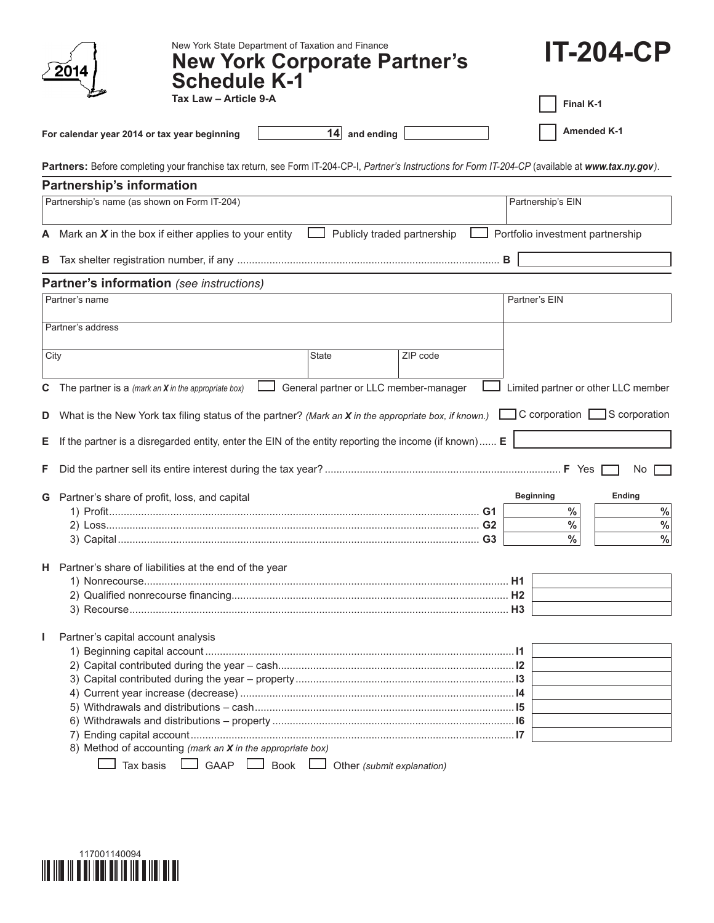| New York State Department of Taxation and Finance<br><b>New York Corporate Partner's</b><br><b>Schedule K-1</b>                                       | <b>IT-204-CP</b>                               |
|-------------------------------------------------------------------------------------------------------------------------------------------------------|------------------------------------------------|
| Tax Law - Article 9-A                                                                                                                                 | Final K-1                                      |
| $14$ and ending<br>For calendar year 2014 or tax year beginning                                                                                       | <b>Amended K-1</b>                             |
| Partners: Before completing your franchise tax return, see Form IT-204-CP-I, Partner's Instructions for Form IT-204-CP (available at www.tax.ny.gov). |                                                |
| Partnership's information                                                                                                                             |                                                |
| Partnership's name (as shown on Form IT-204)                                                                                                          | Partnership's EIN                              |
| A Mark an $X$ in the box if either applies to your entity<br>Publicly traded partnership                                                              | Portfolio investment partnership               |
| В                                                                                                                                                     | в                                              |
| <b>Partner's information</b> (see instructions)                                                                                                       |                                                |
| Partner's name                                                                                                                                        | Partner's EIN                                  |
| Partner's address                                                                                                                                     |                                                |
| <b>State</b><br>ZIP code<br>City                                                                                                                      |                                                |
| General partner or LLC member-manager<br>The partner is a (mark an $X$ in the appropriate box)<br>С                                                   | Limited partner or other LLC member            |
|                                                                                                                                                       |                                                |
| What is the New York tax filing status of the partner? (Mark an X in the appropriate box, if known.)<br>D                                             | $\Box$ C corporation $\Box$ S corporation      |
| If the partner is a disregarded entity, enter the EIN of the entity reporting the income (if known) $E$<br>Е                                          |                                                |
| F                                                                                                                                                     | <b>No</b>                                      |
| <b>G</b> Partner's share of profit, loss, and capital                                                                                                 | Ending<br><b>Beginning</b>                     |
|                                                                                                                                                       | $\%$<br>$\%$                                   |
|                                                                                                                                                       | $\frac{0}{0}$<br>$\%$<br>$\frac{0}{0}$<br>$\%$ |
|                                                                                                                                                       |                                                |
| H Partner's share of liabilities at the end of the year                                                                                               |                                                |
|                                                                                                                                                       |                                                |
|                                                                                                                                                       |                                                |
|                                                                                                                                                       |                                                |
| Partner's capital account analysis<br>J.                                                                                                              |                                                |
|                                                                                                                                                       |                                                |
|                                                                                                                                                       |                                                |
|                                                                                                                                                       |                                                |
|                                                                                                                                                       |                                                |
|                                                                                                                                                       |                                                |
|                                                                                                                                                       |                                                |
| 8) Method of accounting (mark an X in the appropriate box)                                                                                            |                                                |
| $\Box$ GAAP $\Box$ Book $\Box$<br>Tax basis<br>Other (submit explanation)                                                                             |                                                |

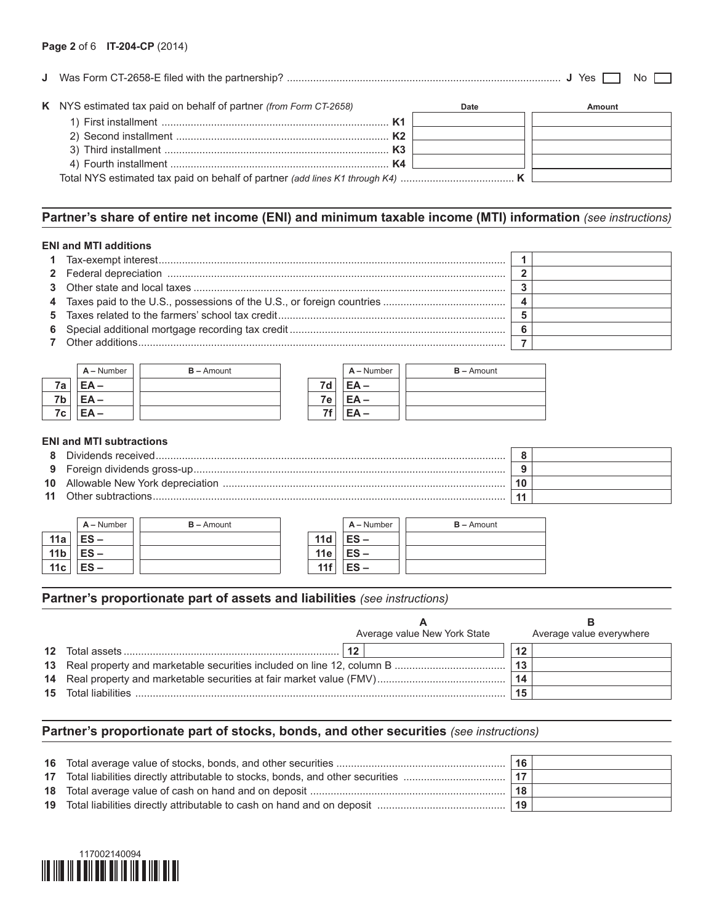|                                                                   |      | Yes.<br>Nο |
|-------------------------------------------------------------------|------|------------|
| K NYS estimated tax paid on behalf of partner (from Form CT-2658) | Date | Amount     |
|                                                                   |      |            |
|                                                                   |      |            |
|                                                                   |      |            |

4) Fourth installment ........................................................................... **K4**

Total NYS estimated tax paid on behalf of partner *(add lines K1 through K4)* ....................................... **K**

# **Partner's share of entire net income (ENI) and minimum taxable income (MTI) information** *(see instructions)*

#### **ENI and MTI additions**

|    | $A -$ Number | $B -$ Amount |                 | $A -$ Number | $B -$ Amount |
|----|--------------|--------------|-----------------|--------------|--------------|
| 7a | $EA -$       |              | 7d              | $EA -$       |              |
| 7b | $EA -$       |              | 7e <sub>1</sub> | $EA -$       |              |
| 7c | EA-          |              | 7f              | $EA -$       |              |

## **ENI and MTI subtractions**

| я  | Dividends received    |  |
|----|-----------------------|--|
|    |                       |  |
|    |                       |  |
| 11 | . Other subtractions. |  |

|                 | $A -$ Number | $B -$ Amount |            | $A -$ Number | $B -$ Amount |
|-----------------|--------------|--------------|------------|--------------|--------------|
| 11a             | $ES -$       |              | 11d        | $ES -$       |              |
| 11 <sub>b</sub> | $ES -$       |              | <b>11e</b> | $ES -$       |              |
| 11c             | $ES -$       |              | 11f        | $ES -$       |              |

### **Partner's proportionate part of assets and liabilities** *(see instructions)*

|                             | Average value New York State |    | Average value everywhere |
|-----------------------------|------------------------------|----|--------------------------|
|                             |                              | 12 |                          |
|                             |                              |    |                          |
|                             |                              |    |                          |
| <b>15</b> Total liabilities |                              |    |                          |

# **Partner's proportionate part of stocks, bonds, and other securities** *(see instructions)*

|  | 16  |  |
|--|-----|--|
|  | -17 |  |
|  | 18  |  |
|  | 19  |  |
|  |     |  |

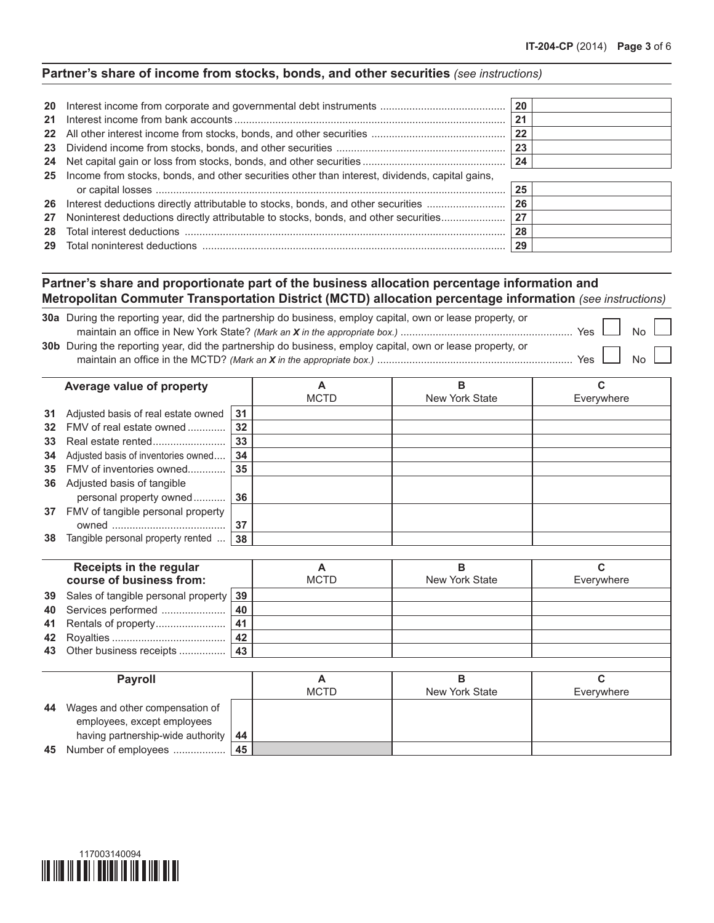# **Partner's share of income from stocks, bonds, and other securities** *(see instructions)*

| 21 |                                                                                                   | 20<br>21<br>22<br>23 |  |
|----|---------------------------------------------------------------------------------------------------|----------------------|--|
|    |                                                                                                   |                      |  |
|    | 25 Income from stocks, bonds, and other securities other than interest, dividends, capital gains, | 25                   |  |
|    | 26 Interest deductions directly attributable to stocks, bonds, and other securities               | 26                   |  |
| 27 | Noninterest deductions directly attributable to stocks, bonds, and other securities               | 27                   |  |
| 28 |                                                                                                   | 28                   |  |
|    |                                                                                                   | 29                   |  |

# **Partner's share and proportionate part of the business allocation percentage information and Metropolitan Commuter Transportation District (MCTD) allocation percentage information** *(see instructions)*

| <b>30a</b> During the reporting year, did the partnership do business, employ capital, own or lease property, or |            |  |
|------------------------------------------------------------------------------------------------------------------|------------|--|
| Yes $\Box$                                                                                                       | $No \perp$ |  |
| <b>30b</b> During the reporting year, did the partnership do business, employ capital, own or lease property, or |            |  |
| Yes                                                                                                              | No I       |  |

|    | Average value of property           |    | Α            | B              | C          |
|----|-------------------------------------|----|--------------|----------------|------------|
|    |                                     |    | <b>MCTD</b>  | New York State | Everywhere |
| 31 | Adjusted basis of real estate owned | 31 |              |                |            |
| 32 | FMV of real estate owned            | 32 |              |                |            |
| 33 |                                     | 33 |              |                |            |
| 34 | Adjusted basis of inventories owned | 34 |              |                |            |
| 35 | FMV of inventories owned            | 35 |              |                |            |
| 36 | Adjusted basis of tangible          |    |              |                |            |
|    | personal property owned             | 36 |              |                |            |
| 37 | FMV of tangible personal property   |    |              |                |            |
|    |                                     | 37 |              |                |            |
| 38 | Tangible personal property rented   | 38 |              |                |            |
|    |                                     |    |              |                |            |
|    | Receipts in the regular             |    | Α            | B              | C          |
|    | course of business from:            |    | <b>MCTD</b>  | New York State | Everywhere |
| 39 | Sales of tangible personal property | 39 |              |                |            |
| 40 | Services performed                  | 40 |              |                |            |
| 41 |                                     | 41 |              |                |            |
| 42 |                                     | 42 |              |                |            |
| 43 | Other business receipts             | 43 |              |                |            |
|    |                                     |    |              |                |            |
|    | <b>Dovedl</b>                       |    | $\mathbf{A}$ | D.             | r          |

|    | <b>Pavroll</b>                    |    |             |                |            |
|----|-----------------------------------|----|-------------|----------------|------------|
|    |                                   |    | <b>MCTD</b> | New York State | Everywhere |
| 44 | Wages and other compensation of   |    |             |                |            |
|    | employees, except employees       |    |             |                |            |
|    | having partnership-wide authority | 44 |             |                |            |
|    | 45 Number of employees            | 45 |             |                |            |

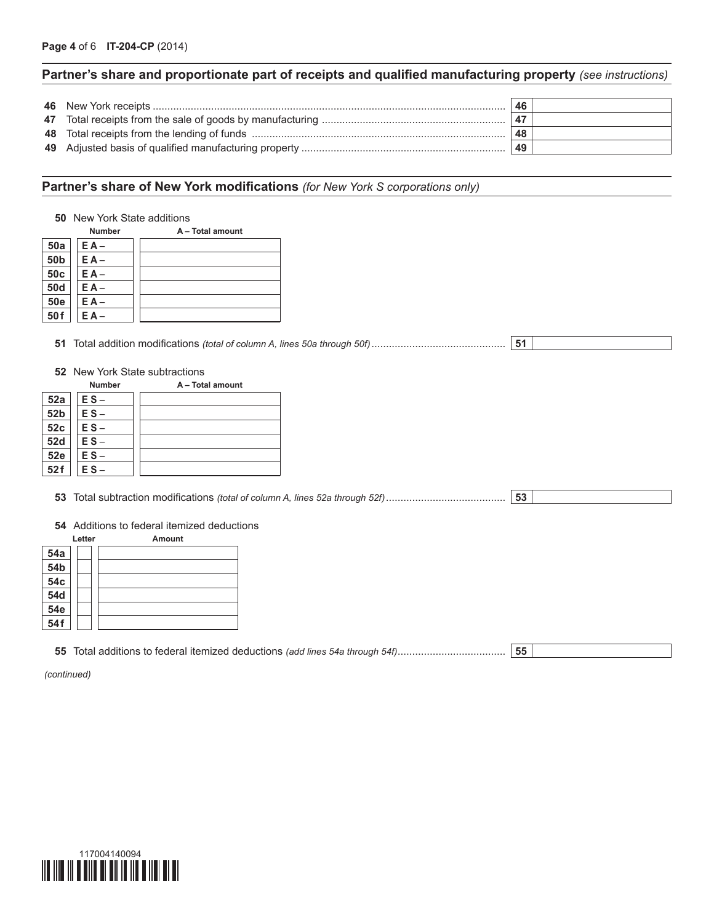# **Partner's share and proportionate part of receipts and qualified manufacturing property** *(see instructions)*

|  | 46   |  |
|--|------|--|
|  | . 47 |  |
|  | 48   |  |
|  | 49   |  |

# **Partner's share of New York modifications** *(for New York S corporations only)*

|                 |               | <b>50</b> New York State additions          |
|-----------------|---------------|---------------------------------------------|
|                 | Number        | A - Total amount                            |
| 50a             | $EA -$        |                                             |
| 50 <sub>b</sub> | $EA -$        |                                             |
| 50c             | $E A -$       |                                             |
| <b>50d</b>      | $EA -$        |                                             |
| <b>50e</b>      | $E A -$       |                                             |
| 50f             | $E A -$       |                                             |
|                 |               | 51<br>52 New York State subtractions        |
|                 | <b>Number</b> | A - Total amount                            |
| 52a             | $ES -$        |                                             |
| 52b             | $ES -$        |                                             |
| 52c             | $ES -$        |                                             |
| <b>52d</b>      | $ES -$        |                                             |
| <b>52e</b>      | $ES -$        |                                             |
| 52f             | $ES -$        |                                             |
|                 |               |                                             |
|                 |               | 53                                          |
|                 |               |                                             |
|                 |               | 54 Additions to federal itemized deductions |
|                 | Letter        | Amount                                      |
| <b>54a</b>      |               |                                             |
| 54b             |               |                                             |
| 54c             |               |                                             |
| <b>54d</b>      |               |                                             |
| 54e             |               |                                             |
| 54f             |               |                                             |

**55** Total additions to federal itemized deductions *(add lines 54a through 54f)*..................................... **55**

*(continued)*

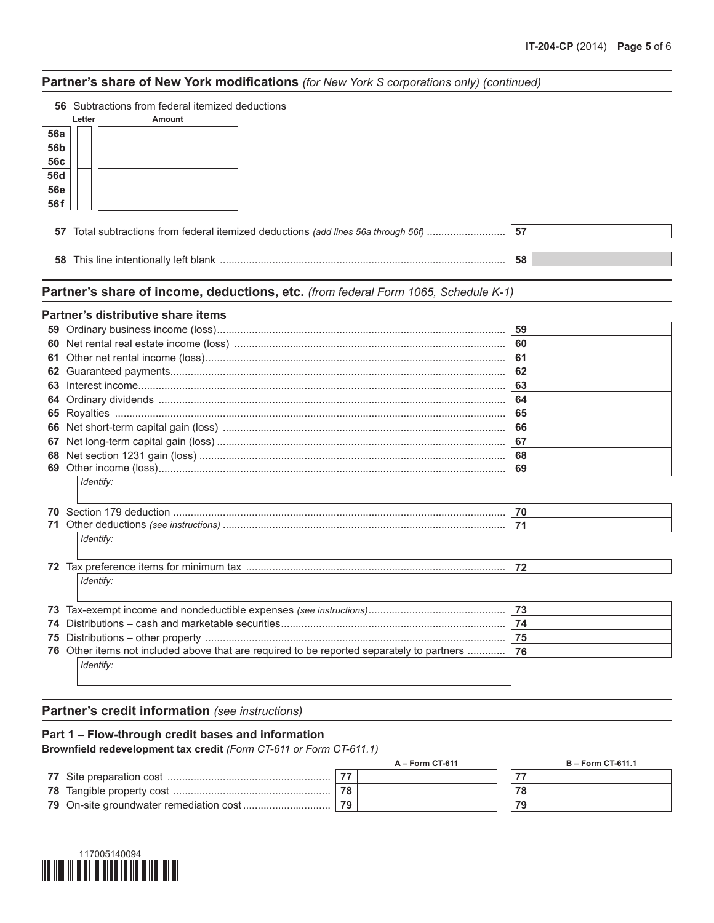## **Partner's share of New York modifications** *(for New York S corporations only) (continued)*

| <b>56</b> Subtractions from federal itemized deductions |  |  |
|---------------------------------------------------------|--|--|
|                                                         |  |  |

|            | Letter | Amount |
|------------|--------|--------|
| <b>56a</b> |        |        |
| <b>56b</b> |        |        |
| <b>56c</b> |        |        |
| 56d        |        |        |
| <u>56e</u> |        |        |
| 56f        |        |        |

| <b>58</b> This line intentionally left blank | 58 |  |
|----------------------------------------------|----|--|

| Partner's share of income, deductions, etc. (from federal Form 1065, Schedule K-1) |  |
|------------------------------------------------------------------------------------|--|
|------------------------------------------------------------------------------------|--|

### **Partner's distributive share items**

|     |                                                                                        | 59 |
|-----|----------------------------------------------------------------------------------------|----|
| 60  |                                                                                        | 60 |
| 61  |                                                                                        | 61 |
| 62  |                                                                                        | 62 |
| 63  |                                                                                        | 63 |
| 64  |                                                                                        | 64 |
|     |                                                                                        | 65 |
|     |                                                                                        | 66 |
| 67  |                                                                                        | 67 |
|     |                                                                                        | 68 |
| 69  |                                                                                        | 69 |
|     | Identify:                                                                              |    |
| 70. |                                                                                        | 70 |
| 71. |                                                                                        | 71 |
|     | Identify:                                                                              |    |
|     |                                                                                        |    |
|     |                                                                                        | 72 |
|     | Identify:                                                                              |    |
|     |                                                                                        |    |
| 73  |                                                                                        | 73 |
| 74  |                                                                                        | 74 |
| 75  |                                                                                        | 75 |
| 76  | Other items not included above that are required to be reported separately to partners | 76 |
|     | Identify:                                                                              |    |
|     |                                                                                        |    |

## **Partner's credit information** *(see instructions)*

## **Part 1 – Flow-through credit bases and information**

**Brownfield redevelopment tax credit** *(Form CT-611 or Form CT-611.1)*

| A – Form CT-611 | <b>B</b> – Form CT-611.1 |
|-----------------|--------------------------|
|                 | $-1$                     |
|                 | 78                       |
| 79              | 79                       |